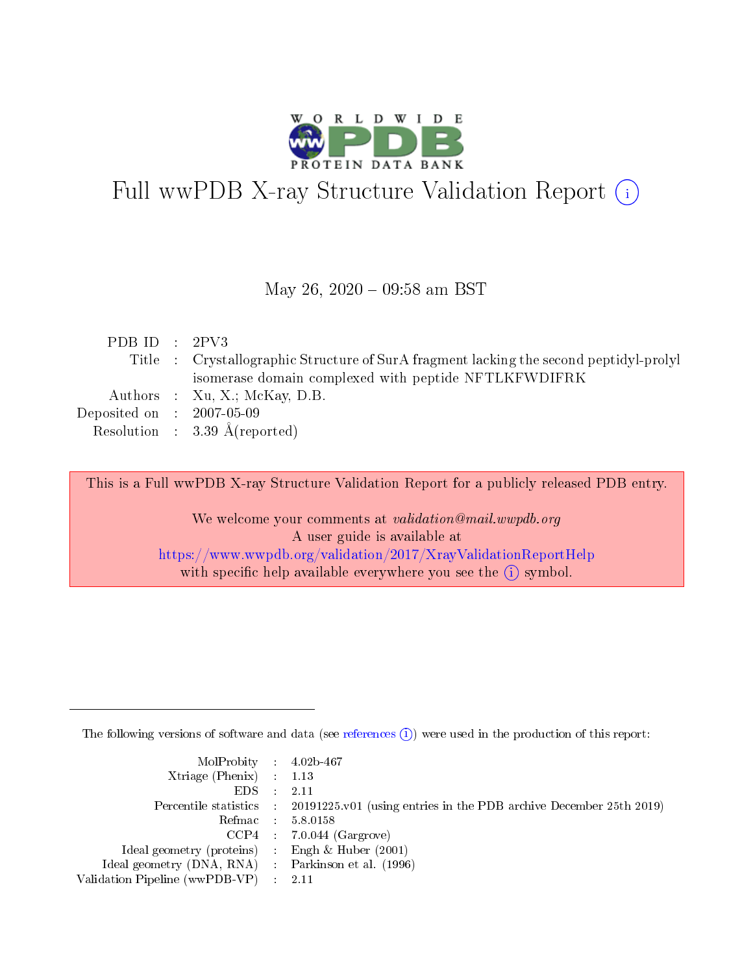

# Full wwPDB X-ray Structure Validation Report (i)

#### May 26, 2020 - 09:58 am BST

| PDB ID : $2PV3$             |                                                                                        |
|-----------------------------|----------------------------------------------------------------------------------------|
|                             | Title : Crystallographic Structure of SurA fragment lacking the second peptidyl-prolyl |
|                             | isomerase domain complexed with peptide NFTLKFWDIFRK                                   |
|                             | Authors : Xu, X.; McKay, D.B.                                                          |
| Deposited on : $2007-05-09$ |                                                                                        |
|                             | Resolution : $3.39 \text{ Å}$ (reported)                                               |
|                             |                                                                                        |

This is a Full wwPDB X-ray Structure Validation Report for a publicly released PDB entry.

We welcome your comments at validation@mail.wwpdb.org A user guide is available at <https://www.wwpdb.org/validation/2017/XrayValidationReportHelp> with specific help available everywhere you see the  $(i)$  symbol.

The following versions of software and data (see [references](https://www.wwpdb.org/validation/2017/XrayValidationReportHelp#references)  $(i)$ ) were used in the production of this report:

| $MolProbability$ 4.02b-467                          |                                                                                            |
|-----------------------------------------------------|--------------------------------------------------------------------------------------------|
| Xtriage (Phenix) $: 1.13$                           |                                                                                            |
| $EDS$ :                                             | -2.11                                                                                      |
|                                                     | Percentile statistics : 20191225.v01 (using entries in the PDB archive December 25th 2019) |
|                                                     | Refmac : 5.8.0158                                                                          |
|                                                     | $CCP4$ : 7.0.044 (Gargrove)                                                                |
| Ideal geometry (proteins) : Engh $\&$ Huber (2001)  |                                                                                            |
| Ideal geometry (DNA, RNA) : Parkinson et al. (1996) |                                                                                            |
| Validation Pipeline (wwPDB-VP)                      | -2.11                                                                                      |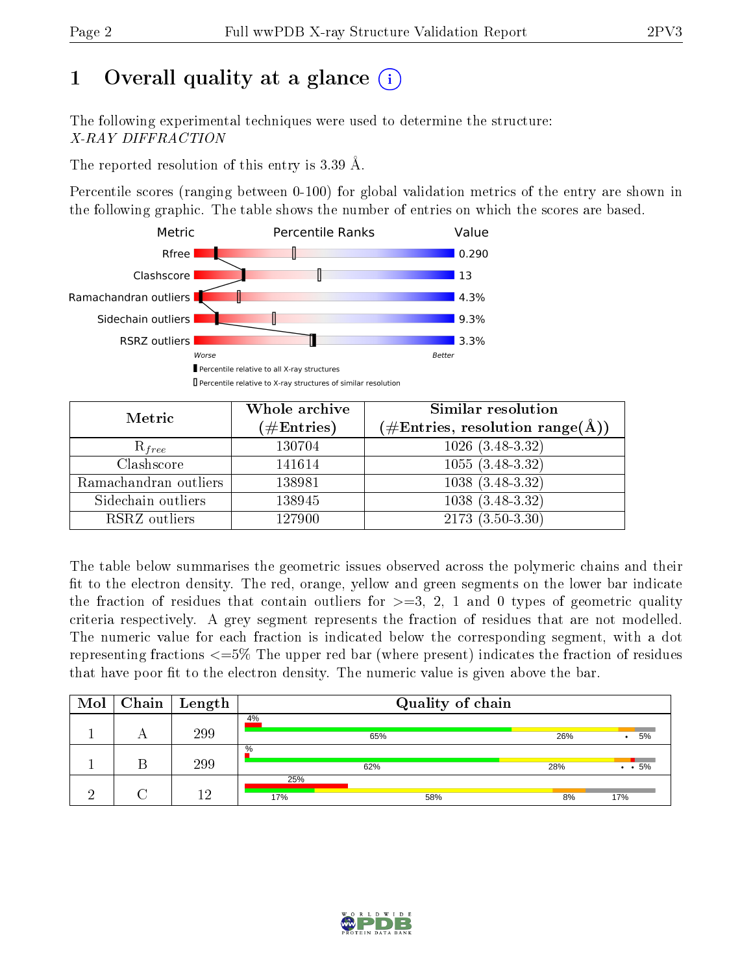# 1 [O](https://www.wwpdb.org/validation/2017/XrayValidationReportHelp#overall_quality)verall quality at a glance  $(i)$

The following experimental techniques were used to determine the structure: X-RAY DIFFRACTION

The reported resolution of this entry is 3.39 Å.

Percentile scores (ranging between 0-100) for global validation metrics of the entry are shown in the following graphic. The table shows the number of entries on which the scores are based.



| Metric                | Whole archive<br>$(\#\mathrm{Entries})$ | Similar resolution<br>$(\#\text{Entries},\, \text{resolution}\; \text{range}(\textup{\AA}))$ |  |  |
|-----------------------|-----------------------------------------|----------------------------------------------------------------------------------------------|--|--|
| $R_{free}$            | 130704                                  | $1026$ $(3.\overline{48-3.32)}$                                                              |  |  |
| Clashscore            | 141614                                  | $1055(3.48-3.32)$                                                                            |  |  |
| Ramachandran outliers | 138981                                  | $1038(3.48-3.32)$                                                                            |  |  |
| Sidechain outliers    | 138945                                  | $1038(3.48-3.32)$                                                                            |  |  |
| RSRZ outliers         | 127900                                  | $2173(3.50-3.30)$                                                                            |  |  |

The table below summarises the geometric issues observed across the polymeric chains and their fit to the electron density. The red, orange, yellow and green segments on the lower bar indicate the fraction of residues that contain outliers for  $>=3, 2, 1$  and 0 types of geometric quality criteria respectively. A grey segment represents the fraction of residues that are not modelled. The numeric value for each fraction is indicated below the corresponding segment, with a dot representing fractions <=5% The upper red bar (where present) indicates the fraction of residues that have poor fit to the electron density. The numeric value is given above the bar.

| Mol | Chain | Length | Quality of chain |     |     |                    |  |
|-----|-------|--------|------------------|-----|-----|--------------------|--|
|     |       | 299    | 4%               |     |     |                    |  |
|     |       |        |                  | 65% | 26% | 5%<br>$\bullet$    |  |
|     |       |        | $\%$             |     |     |                    |  |
|     |       | 299    |                  | 62% | 28% | $\cdot$ $\cdot$ 5% |  |
|     |       |        | 25%              |     |     |                    |  |
|     |       | 19.    | 17%              | 58% | 8%  | 17%                |  |

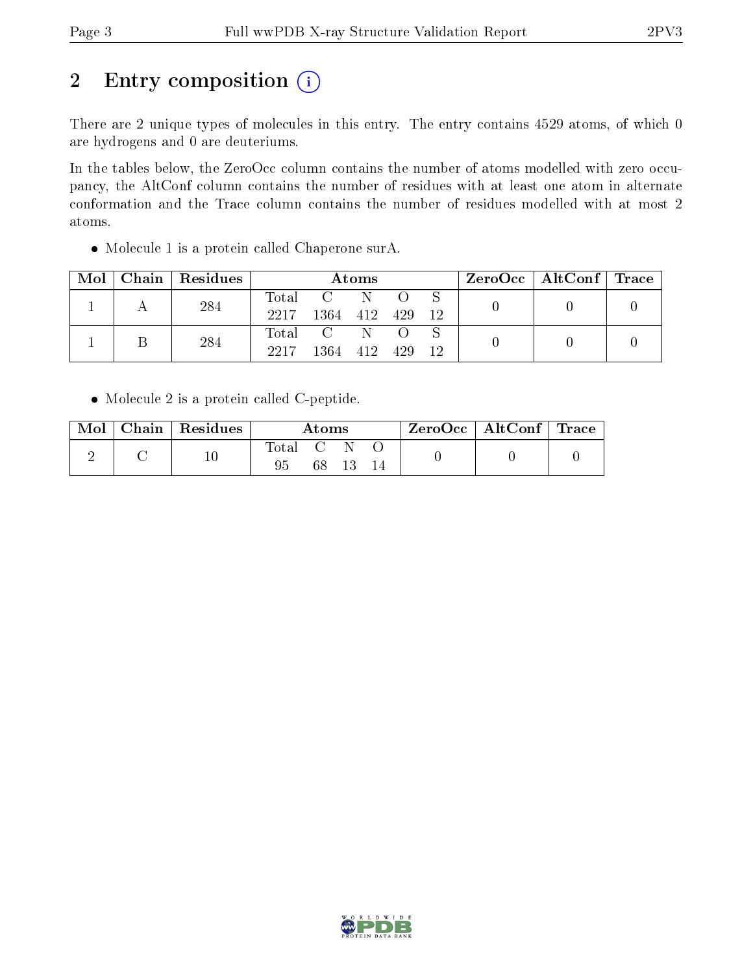# 2 Entry composition (i)

There are 2 unique types of molecules in this entry. The entry contains 4529 atoms, of which 0 are hydrogens and 0 are deuteriums.

In the tables below, the ZeroOcc column contains the number of atoms modelled with zero occupancy, the AltConf column contains the number of residues with at least one atom in alternate conformation and the Trace column contains the number of residues modelled with at most 2 atoms.

Molecule 1 is a protein called Chaperone surA.

| Mol | Chain   Residues | Atoms               |                                                                                     |    |     | $\text{ZeroOcc}$   AltConf   Trace |  |  |
|-----|------------------|---------------------|-------------------------------------------------------------------------------------|----|-----|------------------------------------|--|--|
|     | 284              | $\rm Total$<br>2217 | 1364 412                                                                            | -N | 429 | -12                                |  |  |
|     | 284              | 2217                | $\begin{matrix} \text{Total} \quad & \text{C} \quad \quad \end{matrix}$<br>1364 412 |    | 429 | 12                                 |  |  |

Molecule 2 is a protein called C-peptide.

| Mol | $\parallel$ Chain   Residues $\perp$ | Atoms |  |  |  | $\rm ZeroOcc$   AltConf   Trace |  |
|-----|--------------------------------------|-------|--|--|--|---------------------------------|--|
|     |                                      | Total |  |  |  |                                 |  |

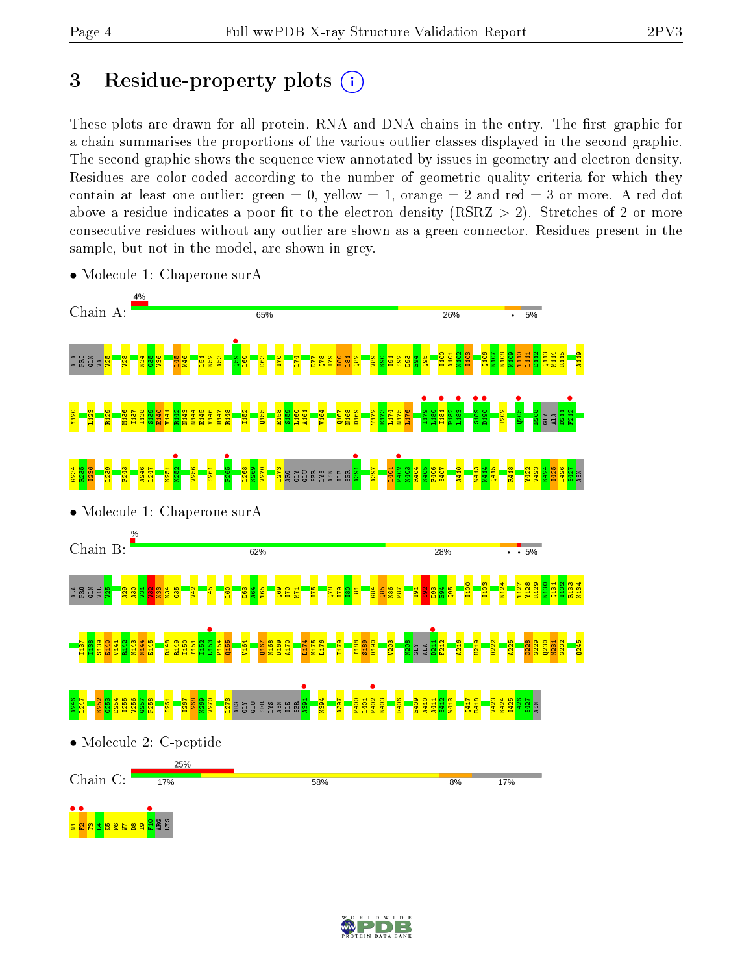# 3 Residue-property plots  $(i)$

These plots are drawn for all protein, RNA and DNA chains in the entry. The first graphic for a chain summarises the proportions of the various outlier classes displayed in the second graphic. The second graphic shows the sequence view annotated by issues in geometry and electron density. Residues are color-coded according to the number of geometric quality criteria for which they contain at least one outlier: green  $= 0$ , yellow  $= 1$ , orange  $= 2$  and red  $= 3$  or more. A red dot above a residue indicates a poor fit to the electron density (RSRZ  $> 2$ ). Stretches of 2 or more consecutive residues without any outlier are shown as a green connector. Residues present in the sample, but not in the model, are shown in grey.



• Molecule 1: Chaperone surA

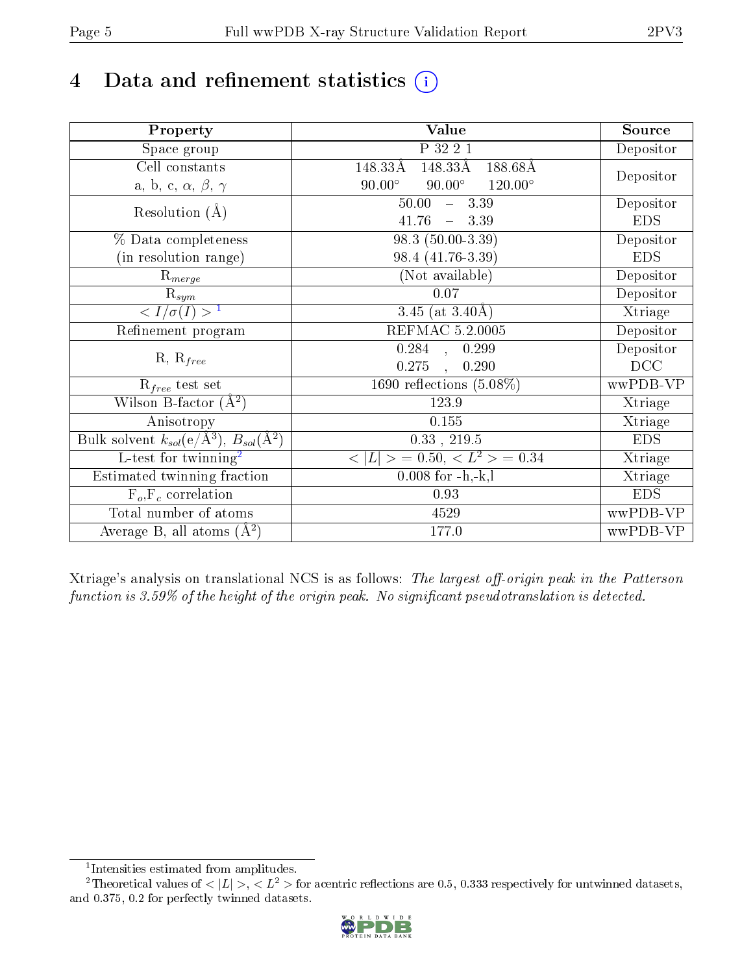# 4 Data and refinement statistics  $(i)$

| Property                                                             | Value                                              | Source     |
|----------------------------------------------------------------------|----------------------------------------------------|------------|
| Space group                                                          | P 32 2 1                                           | Depositor  |
| Cell constants                                                       | 148.33Å<br>188.68Å<br>148.33Å                      |            |
| a, b, c, $\alpha$ , $\beta$ , $\gamma$                               | $90.00^\circ$<br>$90.00^\circ$<br>$120.00^{\circ}$ | Depositor  |
| Resolution $(A)$                                                     | 50.00<br>$-3.39$                                   | Depositor  |
|                                                                      | 41.76<br>$-3.39$                                   | <b>EDS</b> |
| % Data completeness                                                  | 98.3 (50.00-3.39)                                  | Depositor  |
| (in resolution range)                                                | 98.4 (41.76-3.39)                                  | <b>EDS</b> |
| $R_{merge}$                                                          | (Not available)                                    | Depositor  |
| $\mathrm{R}_{sym}$                                                   | $0.07\,$                                           | Depositor  |
| $\sqrt{I/\sigma}(I) > 1$                                             | 3.45 (at $3.40\text{\AA}$ )                        | Xtriage    |
| Refinement program                                                   | REFMAC 5.2.0005                                    | Depositor  |
|                                                                      | $\overline{0.284}$ ,<br>0.299                      | Depositor  |
| $R, R_{free}$                                                        | 0.275<br>0.290                                     | DCC        |
| $R_{free}$ test set                                                  | 1690 reflections $(5.08\%)$                        | wwPDB-VP   |
| Wilson B-factor $(A^2)$                                              | 123.9                                              | Xtriage    |
| Anisotropy                                                           | 0.155                                              | Xtriage    |
| Bulk solvent $k_{sol}(e/\mathring{A}^3)$ , $B_{sol}(\mathring{A}^2)$ | $0.33$ , 219.5                                     | <b>EDS</b> |
| L-test for twinning <sup>2</sup>                                     | $< L >$ = 0.50, $< L2 >$ = 0.34                    | Xtriage    |
| Estimated twinning fraction                                          | $0.008$ for $-h,-k,l$                              | Xtriage    |
| $F_o, F_c$ correlation                                               | 0.93                                               | <b>EDS</b> |
| Total number of atoms                                                | 4529                                               | wwPDB-VP   |
| Average B, all atoms $(A^2)$                                         | 177.0                                              | wwPDB-VP   |

Xtriage's analysis on translational NCS is as follows: The largest off-origin peak in the Patterson function is  $3.59\%$  of the height of the origin peak. No significant pseudotranslation is detected.

<sup>&</sup>lt;sup>2</sup>Theoretical values of  $\langle |L| \rangle$ ,  $\langle L^2 \rangle$  for acentric reflections are 0.5, 0.333 respectively for untwinned datasets, and 0.375, 0.2 for perfectly twinned datasets.



<span id="page-4-1"></span><span id="page-4-0"></span><sup>1</sup> Intensities estimated from amplitudes.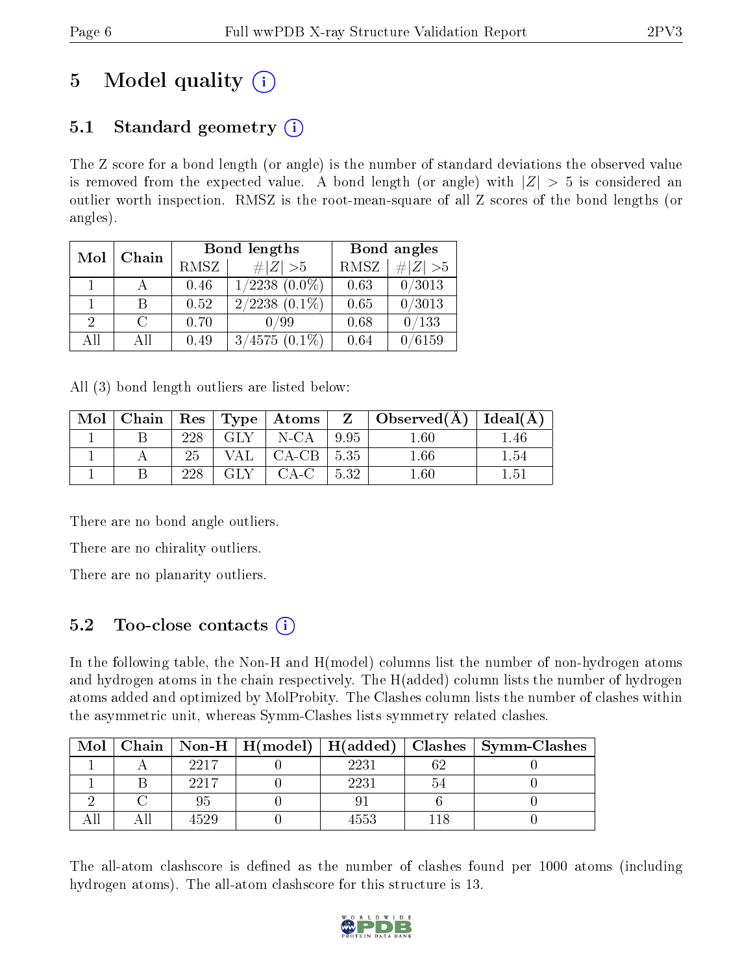# 5 Model quality  $(i)$

## 5.1 Standard geometry  $(i)$

The Z score for a bond length (or angle) is the number of standard deviations the observed value is removed from the expected value. A bond length (or angle) with  $|Z| > 5$  is considered an outlier worth inspection. RMSZ is the root-mean-square of all Z scores of the bond lengths (or angles).

| Mol           | Chain  |      | Bond lengths       | Bond angles |           |  |
|---------------|--------|------|--------------------|-------------|-----------|--|
|               |        | RMSZ | $\# Z >5$          | RMSZ        | # $ Z >5$ |  |
| $\mathbf{1}$  |        | 0.46 | $1/2238(0.0\%)$    | 0.63        | 0/3013    |  |
|               | B      | 0.52 | $2/2238$ $(0.1\%)$ | 0.65        | 0/3013    |  |
| $\mathcal{D}$ | $\cap$ | 0.70 | 0/99               | 0.68        | 0/133     |  |
| AH            | ΑH     | 0.49 | $3/4575(0.1\%)$    | 0.64        | 0/6159    |  |

All (3) bond length outliers are listed below:

| Mol | Chain |     |        | $\mid$ Res $\mid$ Type $\mid$ Atoms |      | $\boxed{Z}$ Observed(A) <sup>+</sup> | Ideal(A)        |
|-----|-------|-----|--------|-------------------------------------|------|--------------------------------------|-----------------|
|     |       | 228 | GLY    | N-CA                                | 9.95 | $1.60\,$                             | .46             |
|     |       | 25  | VAL -  | $CA-CB$ .                           | 5.35 | $1.66\,$                             | $1.54\,$        |
|     |       | ววค | -GLY - | CA-C                                | 5.32 | $.60\,$                              | $1.5^{\degree}$ |

There are no bond angle outliers.

There are no chirality outliers.

There are no planarity outliers.

## $5.2$  Too-close contacts  $(i)$

In the following table, the Non-H and H(model) columns list the number of non-hydrogen atoms and hydrogen atoms in the chain respectively. The H(added) column lists the number of hydrogen atoms added and optimized by MolProbity. The Clashes column lists the number of clashes within the asymmetric unit, whereas Symm-Clashes lists symmetry related clashes.

| Mol |       |      |     | Chain   Non-H   H(model)   H(added)   Clashes   Symm-Clashes |
|-----|-------|------|-----|--------------------------------------------------------------|
|     | -2217 | 2231 | 69  |                                                              |
|     | 2217  | 2231 | ⊱ن: |                                                              |
|     |       |      |     |                                                              |
|     | 4529  | 4553 |     |                                                              |

The all-atom clashscore is defined as the number of clashes found per 1000 atoms (including hydrogen atoms). The all-atom clashscore for this structure is 13.

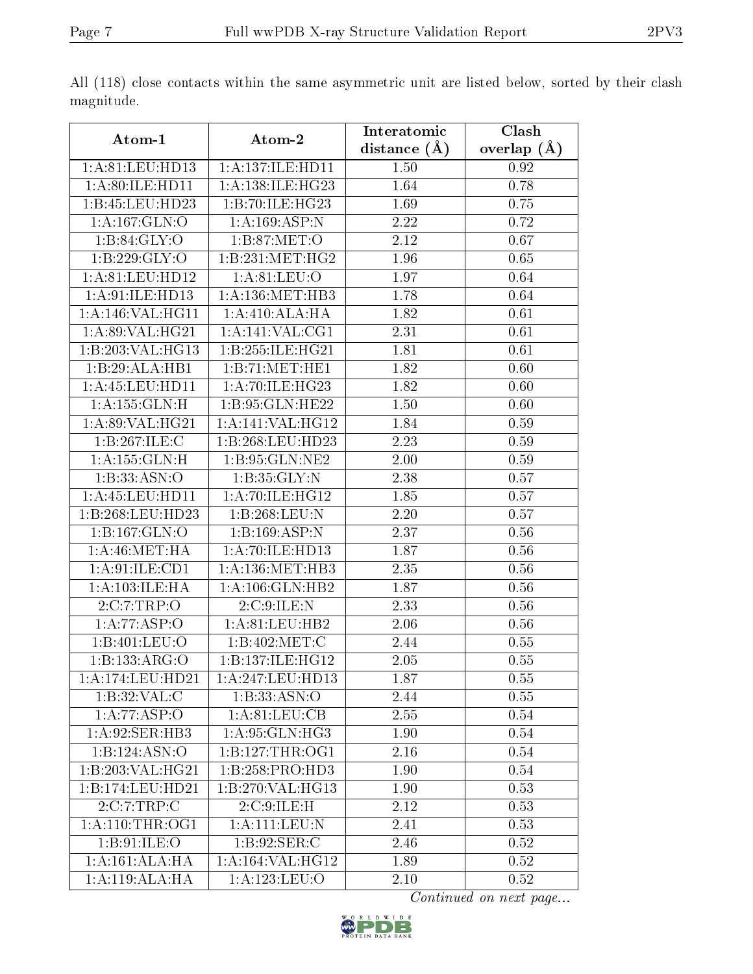|                            |                              | Interatomic    | Clash         |
|----------------------------|------------------------------|----------------|---------------|
| Atom-1                     | Atom-2                       | distance $(A)$ | overlap $(A)$ |
| 1: A:81: LEU:HD13          | 1:A:137:ILE:HD11             | 1.50           | 0.92          |
| 1: A:80: ILE: HD11         | 1:A:138:ILE:HG23             | 1.64           | 0.78          |
| 1:B:45:LEU:HD23            | 1:B:70:ILE:HG23              | 1.69           | 0.75          |
| 1:A:167:GLN:O              | 1:A:169:ASP:N                | 2.22           | 0.72          |
| 1: B:84: GLY:O             | 1:B:87:MET:O                 | 2.12           | 0.67          |
| 1:B:229:GLY:O              | 1:B:231:MET:HG2              | 1.96           | 0.65          |
| 1: A:81: LEU: HD12         | 1: A:81: LEU:O               | 1.97           | 0.64          |
| 1:A:91:ILE:HD13            | 1: A: 136: MET: HB3          | 1.78           | 0.64          |
| 1:A:146:VAL:HG11           | 1:A:410:ALA:HA               | 1.82           | 0.61          |
| 1:A:89:VAL:HG21            | 1:A:141:VAL:CG1              | 2.31           | 0.61          |
| 1:B:203:VAL:HG13           | 1:B:255:ILE:HG21             | 1.81           | 0.61          |
| 1:B:29:ALA:HB1             | 1:B:71:MET:HE1               | 1.82           | 0.60          |
| 1: A: 45: LEU: HD11        | 1: A:70: ILE: HG23           | 1.82           | 0.60          |
| 1: A: 155: GLN:H           | 1:B:95:GLN:HE22              | 1.50           | 0.60          |
| 1: A:89: VAL: HG21         | 1:A:141:VAL:H <sub>G12</sub> | 1.84           | 0.59          |
| 1:B:267:ILE:C              | 1:B:268:LEU:HD23             | 2.23           | 0.59          |
| 1: A: 155: GLN: H          | 1:B:95:GLN:NE2               | 2.00           | 0.59          |
| 1: B: 33: ASN:O            | 1:B:35:GLY:N                 | 2.38           | 0.57          |
| 1: A: 45: LEU: HD11        | 1:A:70:ILE:HG12              | 1.85           | 0.57          |
| 1:B:268:LEU:HD23           | 1:B:268:LEU:N                | 2.20           | 0.57          |
| $1:B:167:\overline{GLN:O}$ | 1:B:169:ASP:N                | 2.37           | 0.56          |
| 1: A:46:MET:HA             | 1: A:70: ILE: HD13           | 1.87           | 0.56          |
| 1:A:91:ILE:CD1             | 1:A:136:MET:HB3              | 2.35           | 0.56          |
| 1: A: 103: ILE: HA         | 1:A:106:GLN:HB2              | 1.87           | 0.56          |
| 2:C:7:TRP:O                | 2:C:9:ILE:N                  | 2.33           | 0.56          |
| $1:A:77:\overline{ASP:O}$  | 1:A:81:LEU:HB2               | 2.06           | 0.56          |
| 1:B:401:LEU:O              | 1:B:402:MET:C                | 2.44           | 0.55          |
| 1:Bi:133:ARG:O             | 1:B:137:ILE:HG12             | $2.05\,$       | $0.55\,$      |
| 1:A:174:LEU:HD21           | 1:A:247:LEU:HD13             | 1.87           | 0.55          |
| 1:B:32:VAL:C               | 1:B:33:ASN:O                 | 2.44           | 0.55          |
| 1:A:77:ASP:O               | 1: A:81: LEU:CB              | 2.55           | 0.54          |
| 1:A:92:SER:HB3             | 1:A:95:GLN:HG3               | 1.90           | 0.54          |
| 1:B:124:ASN:O              | 1:B:127:THR:OG1              | 2.16           | 0.54          |
| 1:B:203:VAL:HG21           | 1:B:258:PRO:HD3              | 1.90           | 0.54          |
| 1:B:174:LEU:HD21           | 1:B:270: VAL: HG13           | 1.90           | 0.53          |
| 2:C:7:TRP:C                | 2:C:9:ILE:H                  | 2.12           | 0.53          |
| 1: A:110:THR:OG1           | 1:A:111:LEU:N                | 2.41           | 0.53          |
| 1:B:91:ILE:O               | 1: B:92: SER: C              | 2.46           | 0.52          |
| 1: A:161: ALA:HA           | 1: A:164: VAL:HG12           | 1.89           | 0.52          |
| 1:A:119:ALA:HA             | 1: A: 123: LEU: O            | 2.10           | 0.52          |

All (118) close contacts within the same asymmetric unit are listed below, sorted by their clash magnitude.

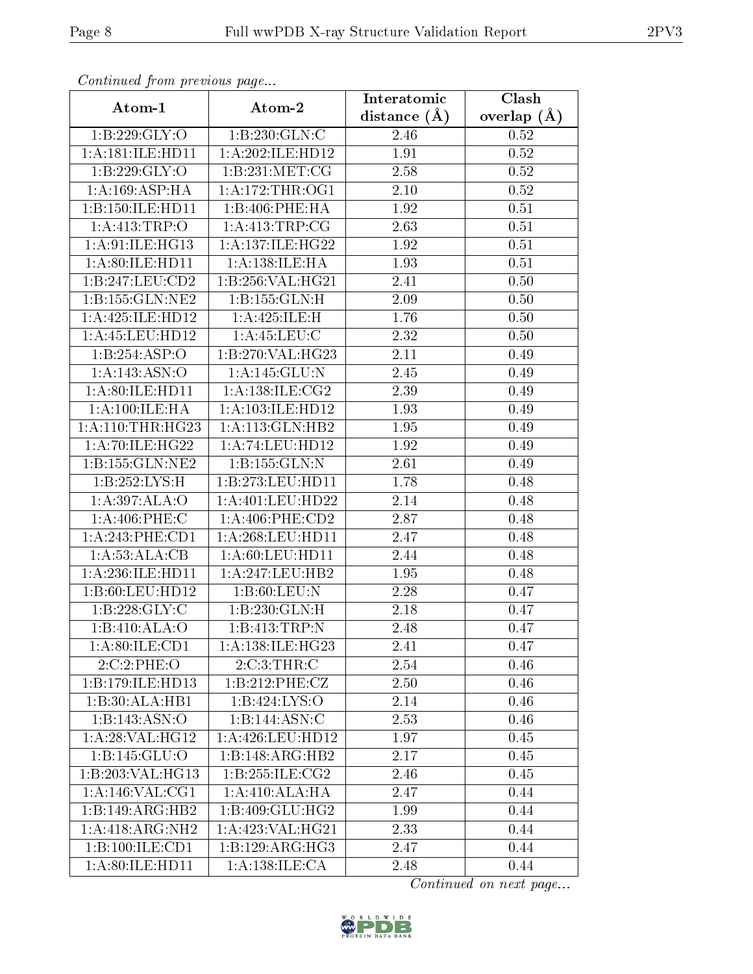| Continuatu from previous page |                        | Interatomic      | Clash           |
|-------------------------------|------------------------|------------------|-----------------|
| Atom-1                        | Atom-2                 | distance $(\AA)$ | overlap $(\AA)$ |
| 1:B:229:GLY:O                 | 1:B:230:GLN:C          | 2.46             | 0.52            |
| 1:A:181:ILE:HD11              | 1: A:202: ILE: HD12    | 1.91             | 0.52            |
| 1:B:229:GLY:O                 | 1:B:231:MET:CG         | 2.58             | $0.52\,$        |
| 1:A:169:ASP:HA                | 1: A:172:THR:OG1       | 2.10             | 0.52            |
| 1:B:150:ILE:HD11              | 1:B:406:PHE:HA         | 1.92             | 0.51            |
| 1: A: 413: TRP:O              | 1:A:413:TRP:CG         | 2.63             | 0.51            |
| 1:A:91:ILE:HG13               | 1:A:137:ILE:HG22       | 1.92             | 0.51            |
| 1: A:80: ILE: HD11            | 1: A: 138: ILE: HA     | 1.93             | 0.51            |
| 1:B:247:LEU:CD2               | 1:B:256:VAL:HG21       | 2.41             | 0.50            |
| 1:B:155:GLN:NE2               | 1:B:155:GLN:H          | 2.09             | 0.50            |
| 1:A:425:ILE:HD12              | 1:A:425:ILE:H          | 1.76             | 0.50            |
| 1: A: 45: LEU: HD12           | 1: A: 45: LEU: C       | 2.32             | 0.50            |
| 1:B:254:ASP:O                 | 1:B:270:VAL:HG23       | 2.11             | 0.49            |
| 1:A:143:ASN:O                 | 1:A:145:GLU:N          | 2.45             | 0.49            |
| 1:A:80:ILE:HD11               | 1: A: 138: ILE: CG2    | 2.39             | 0.49            |
| 1: A:100: ILE: HA             | 1: A: 103: ILE: HD12   | 1.93             | 0.49            |
| 1: A:110:THR:HG23             | 1: A:113: GLN:HB2      | 1.95             | 0.49            |
| 1: A:70: ILE: HG22            | 1:A:74:LEU:HD12        | 1.92             | 0.49            |
| 1:B:155:GLN:NE2               | 1:B:155:GLN:N          | 2.61             | 0.49            |
| 1:B:252:LYS:H                 | 1:B:273:LEU:HD11       | 1.78             | 0.48            |
| 1:A:397:ALA:O                 | 1: A:401:LEU:HD22      | 2.14             | 0.48            |
| $1: A:406:$ PHE:C             | $1: A:406:$ PHE: $CD2$ | 2.87             | 0.48            |
| 1:A:243:PHE:CD1               | 1: A:268:LEU:HD11      | 2.47             | 0.48            |
| 1:A:53:ALA:CB                 | 1: A:60: LEU: HD11     | 2.44             | 0.48            |
| 1:A:236:ILE:HD11              | 1: A: 247: LEU: HB2    | 1.95             | 0.48            |
| 1:B:60:LEU:HD12               | 1: B:60: LEU: N        | 2.28             | 0.47            |
| 1:B:228:GLY:C                 | 1:B:230:GLN:H          | 2.18             | 0.47            |
| $1:B:410:\overline{ALA:O}$    | 1:B:413:TRP:N          | 2.48             | 0.47            |
| 1: A:80: ILE:CD1              | 1: A: 138: ILE: HG23   | 2.41             | 0.47            |
| 2:C:2:PHE:O                   | 2:C:3:THR:C            | 2.54             | 0.46            |
| 1:B:179:ILE:HD13              | 1:B:212:PHE:CZ         | 2.50             | 0.46            |
| 1:B:30:ALA:HB1                | 1:B:424:LYS:O          | 2.14             | 0.46            |
| 1:B:143:ASN:O                 | 1:B:144:ASN:C          | 2.53             | 0.46            |
| 1: A:28: VAL:HG12             | $1:$ A:426:LEU:HD12    | 1.97             | 0.45            |
| 1: B: 145: GLU: O             | 1:B:148:ARG:HB2        | 2.17             | 0.45            |
| 1:B:203:VAL:HG13              | 1:B:255:ILE:CG2        | 2.46             | 0.45            |
| 1:A:146:VAL:CG1               | 1:A:410:ALA:HA         | 2.47             | 0.44            |
| 1:B:149:ARG:HB2               | 1:B:409:GLU:HG2        | 1.99             | 0.44            |
| 1:A:418:ARG:NH2               | 1:A:423:VAL:HG21       | 2.33             | 0.44            |
| 1:B:100:ILE:CD1               | 1:B:129:ARG:HG3        | 2.47             | 0.44            |
| 1:A:80:ILE:HD11               | 1: A: 138: ILE: CA     | 2.48             | 0.44            |

Continued from previous page.

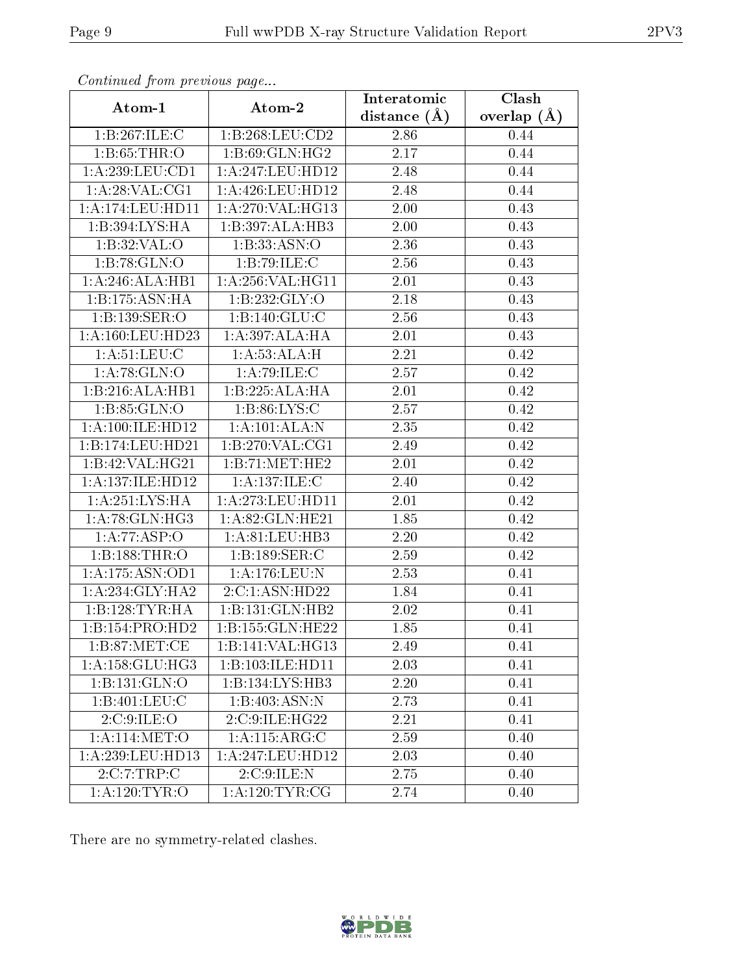|                     |                             | Interatomic    | $\overline{\text{Clash}}$ |
|---------------------|-----------------------------|----------------|---------------------------|
| Atom-1              | Atom-2                      | distance $(A)$ | overlap $(\AA)$           |
| 1:B:267:ILE:C       | 1:B:268:LEU:CD2             | 2.86           | 0.44                      |
| 1: B: 65: THR:O     | 1: B:69: GLN: HG2           | 2.17           | 0.44                      |
| 1:A:239:LEU:CD1     | 1: A:247:LEU:HD12           | 2.48           | 0.44                      |
| 1: A:28: VAL:CG1    | 1: A:426: LEU: HD12         | 2.48           | 0.44                      |
| 1: A:174:LEU: HD11  | 1:A:270:VAL:HG13            | 2.00           | 0.43                      |
| 1: B: 394: LYS: HA  | 1:B:397:ALA:HB3             | 2.00           | 0.43                      |
| 1:B:32:VAL:O        | 1:B:33:ASN:O                | 2.36           | 0.43                      |
| 1:B:78:GLN:O        | 1:B:79:ILE:C                | 2.56           | 0.43                      |
| 1:A:246:ALA:HB1     | 1: A:256: VAL:HGI1          | 2.01           | 0.43                      |
| 1:B:175:ASN:HA      | 1:B:232:GLY:O               | 2.18           | 0.43                      |
| 1:B:139:SER:O       | 1: B: 140: GLU: C           | 2.56           | 0.43                      |
| 1: A:160:LEU:HD23   | 1:A:397:ALA:HA              | 2.01           | 0.43                      |
| 1: A:51: LEU: C     | 1:A:53:ALA:H                | 2.21           | 0.42                      |
| 1: A:78: GLN:O      | 1: A:79: ILE:C              | 2.57           | 0.42                      |
| 1:B:216:ALA:HB1     | 1:B:225:ALA:HA              | 2.01           | 0.42                      |
| 1:B:85:GLN:O        | 1: B:86: LYS:C              | 2.57           | 0.42                      |
| 1: A:100: ILE: HD12 | 1:A:101:ALA:N               | 2.35           | 0.42                      |
| 1:B:174:LEU:HD21    | 1: B:270: VAL:CG1           | 2.49           | 0.42                      |
| 1:B:42:VAL:HG21     | 1:B:71:MET:HE2              | 2.01           | 0.42                      |
| 1:A:137:ILE:HD12    | 1: A: 137: ILE:C            | 2.40           | 0.42                      |
| 1:A:251:LYS:HA      | 1: A:273:LEU:HD11           | 2.01           | 0.42                      |
| 1: A:78: GLN: HG3   | 1:A:82:GLN:HE21             | 1.85           | 0.42                      |
| 1:A:77:ASP:O        | 1: A:81:LEU:HB3             | 2.20           | 0.42                      |
| 1:B:188:THR:O       | 1:B:189:SER:C               | 2.59           | 0.42                      |
| 1: A: 175: ASN: OD1 | 1: A:176: LEU: N            | 2.53           | 0.41                      |
| 1:A:234:GLY:HA2     | $2:C:1:\overline{ASN:HD22}$ | 1.84           | 0.41                      |
| 1:B:128:TYR:HA      | 1:B:131:GLN:HB2             | 2.02           | 0.41                      |
| 1:B:154:PRO:HD2     | 1:B:155:GLN:HE22            | 1.85           | 0.41                      |
| 1: B:87: MET:CE     | 1:B:141:VAL:HG13            | 2.49           | 0.41                      |
| 1:A:158:GLU:HG3     | 1:B:103:ILE:HD11            | 2.03           | 0.41                      |
| 1:B:131:GLN:O       | 1:B:134:LYS:HB3             | 2.20           | 0.41                      |
| 1:B:401:LEU:C       | 1:B:403:ASN:N               | 2.73           | 0.41                      |
| 2:C:9:ILE:O         | 2:C:9:ILE:HG22              | 2.21           | 0.41                      |
| 1: A:114: MET:O     | $1:A:115:\overline{ARG:C}$  | 2.59           | 0.40                      |
| 1: A:239:LEU:HD13   | 1:A:247:LEU:HD12            | 2.03           | 0.40                      |
| 2:C:7:TRP:C         | 2:C:9:ILE:N                 | 2.75           | 0.40                      |
| 1: A: 120: TYR: O   | 1: A:120: TYR: CG           | 2.74           | 0.40                      |

Continued from previous page.

There are no symmetry-related clashes.

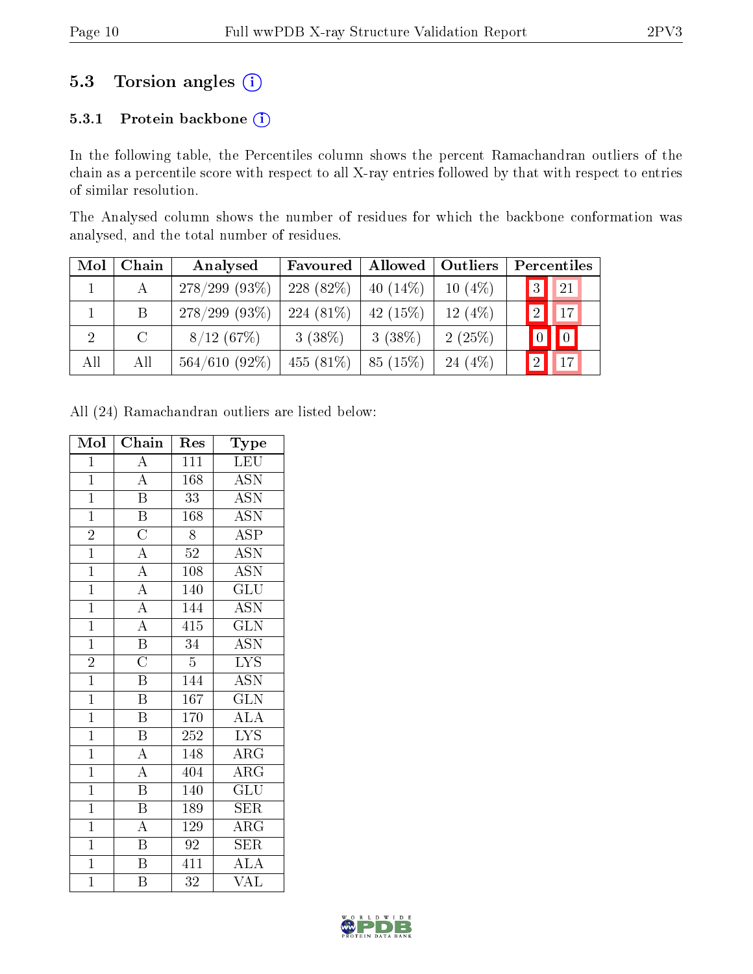### 5.3 Torsion angles (i)

#### 5.3.1 Protein backbone (i)

In the following table, the Percentiles column shows the percent Ramachandran outliers of the chain as a percentile score with respect to all X-ray entries followed by that with respect to entries of similar resolution.

The Analysed column shows the number of residues for which the backbone conformation was analysed, and the total number of residues.

| Mol            | Chain   | Analysed         | Favoured    | Allowed    | Outliers  | Percentiles               |
|----------------|---------|------------------|-------------|------------|-----------|---------------------------|
|                |         | $278/299$ (93\%) | $228(82\%)$ | $40(14\%)$ | $10(4\%)$ | 21<br> 3                  |
|                | B       | $278/299$ (93\%) | $224(81\%)$ | $42(15\%)$ | 12 $(4%)$ | $\overline{17}$           |
| $\overline{2}$ | $\rm C$ | 8/12(67%)        | $3(38\%)$   | $3(38\%)$  | 2(25%)    | $\boxed{0}$<br>$\sqrt{0}$ |
| All            | All     | $564/610(92\%)$  | $455(81\%)$ | 85(15%)    | 24 $(4%)$ | 17                        |

All (24) Ramachandran outliers are listed below:

| Mol            | Chain                   | Res             | Type                      |
|----------------|-------------------------|-----------------|---------------------------|
| $\mathbf{1}$   | $\boldsymbol{A}$        | 111             | <b>LEU</b>                |
| $\overline{1}$ | $\overline{A}$          | 168             | $\overline{ASN}$          |
| $\overline{1}$ | $\overline{\mathrm{B}}$ | 33              | <b>ASN</b>                |
| $\mathbf{1}$   | $\overline{\mathbf{B}}$ | 168             | $\overline{\text{ASN}}$   |
| $\overline{2}$ | $\overline{\rm C}$      | 8               | <b>ASP</b>                |
| $\mathbf{1}$   | $\overline{A}$          | $52\,$          | $\overline{\mathrm{ASN}}$ |
| $\overline{1}$ | $\overline{A}$          | 108             | $\overline{\text{ASN}}$   |
| $\mathbf{1}$   | $\overline{A}$          | 140             | $\overline{{\rm GLU}}$    |
| $\overline{1}$ | $\overline{A}$          | 144             | $\overline{\mathrm{ASN}}$ |
| $\mathbf{1}$   | $\overline{A}$          | 415             | $\overline{\text{GLN}}$   |
| $\mathbf{1}$   | $\overline{\mathbf{B}}$ | 34              | <b>ASN</b>                |
| $\overline{2}$ | $\overline{\rm C}$      | $\overline{5}$  | <b>LYS</b>                |
| $\overline{1}$ | $\overline{\mathrm{B}}$ | 144             | <b>ASN</b>                |
| $\overline{1}$ | $\overline{\mathrm{B}}$ | 167             | $\overline{\text{GLN}}$   |
| $\overline{1}$ | $\overline{\mathrm{B}}$ | 170             | ALA                       |
| $\overline{1}$ | $\overline{\mathrm{B}}$ | 252             | $\overline{\text{LYS}}$   |
| $\overline{1}$ | $\overline{A}$          | 148             | $\overline{\rm{ARG}}$     |
| $\overline{1}$ | $\overline{A}$          | 404             | $\overline{\rm{ARG}}$     |
| $\overline{1}$ | $\overline{\mathrm{B}}$ | 140             | $\overline{{\rm GLU}}$    |
| $\overline{1}$ | $\overline{\mathrm{B}}$ | 189             | <b>SER</b>                |
| $\overline{1}$ | $\overline{\rm A}$      | 129             | $\rm{ARG}$                |
| $\overline{1}$ | $\overline{\mathrm{B}}$ | $\overline{92}$ | <b>SER</b>                |
| $\overline{1}$ | $\overline{\mathrm{B}}$ | 411             | <b>ALA</b>                |
| $\overline{1}$ | $\overline{\mathrm{B}}$ | 32              | $\overline{\text{VAL}}$   |

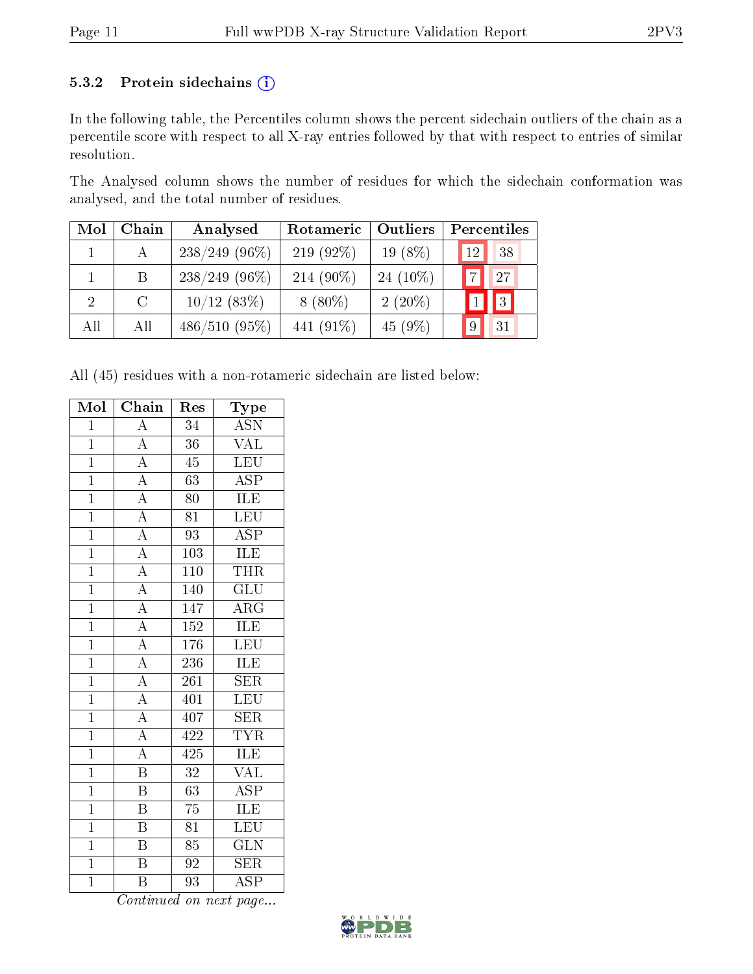#### 5.3.2 Protein sidechains (i)

In the following table, the Percentiles column shows the percent sidechain outliers of the chain as a percentile score with respect to all X-ray entries followed by that with respect to entries of similar resolution.

The Analysed column shows the number of residues for which the sidechain conformation was analysed, and the total number of residues.

| Mol | Chain   | Analysed        | Rotameric    | Outliers    | Percentiles           |
|-----|---------|-----------------|--------------|-------------|-----------------------|
|     |         | $238/249$ (96%) | 219 $(92\%)$ | $19(8\%)$   | 38<br>12 <sub>l</sub> |
|     | B       | $238/249$ (96%) | $214(90\%)$  | 24 $(10\%)$ | $\overline{7}$<br>27  |
|     | $\rm C$ | $10/12$ (83%)   | $8(80\%)$    | $2(20\%)$   | $\blacksquare$        |
| All | All     | $486/510(95\%)$ | 441 (91\%)   | 45(9%)      | 9<br>31               |

All (45) residues with a non-rotameric sidechain are listed below:

| Mol            | Chain                    | $\operatorname{Res}% \left( \mathcal{N}\right) \equiv\operatorname{Res}(\mathcal{N}_{0})\cap\mathcal{N}_{1}$ | Type                    |
|----------------|--------------------------|--------------------------------------------------------------------------------------------------------------|-------------------------|
| $\overline{1}$ | $\overline{A}$           | $\overline{34}$                                                                                              | <b>ASN</b>              |
| $\overline{1}$ | $\overline{A}$           | $\overline{36}$                                                                                              | VAL                     |
| $\overline{1}$ | $\overline{A}$           | $\overline{45}$                                                                                              | LEU                     |
| $\overline{1}$ | $\overline{A}$           | $\overline{63}$                                                                                              | $\overline{\text{ASP}}$ |
| $\overline{1}$ | $\overline{A}$           | 80                                                                                                           | $\overline{\text{ILE}}$ |
| $\overline{1}$ |                          | $\overline{81}$                                                                                              | LEU                     |
| $\overline{1}$ | $\frac{\overline{A}}{A}$ | $\overline{93}$                                                                                              | $\overline{\text{ASP}}$ |
| $\overline{1}$ | $\overline{A}$           | 103                                                                                                          | $\overline{\text{ILE}}$ |
| $\overline{1}$ | $\overline{A}$           | $\overline{110}$                                                                                             | <b>THR</b>              |
| $\overline{1}$ | $\overline{A}$           | 140                                                                                                          | $\overline{{\rm GLU}}$  |
| $\overline{1}$ | $\frac{1}{A}$            | 147                                                                                                          | $\overline{\rm{ARG}}$   |
| $\overline{1}$ | $\overline{A}$           | 152                                                                                                          | <b>ILE</b>              |
| $\overline{1}$ | $\overline{A}$           | 176                                                                                                          | <b>LEU</b>              |
| $\overline{1}$ | $\overline{A}$           | $\overline{236}$                                                                                             | ILE                     |
| $\overline{1}$ | $\overline{A}$           | $\overline{261}$                                                                                             | SER                     |
| $\overline{1}$ | $\overline{A}$           | 401                                                                                                          | LEU                     |
| $\overline{1}$ | $\overline{A}$           | 407                                                                                                          | <b>SER</b>              |
| $\overline{1}$ | $\overline{A}$           | 422                                                                                                          | $\overline{\text{TYR}}$ |
| $\overline{1}$ | $\overline{A}$           | 425                                                                                                          | ILE                     |
| $\overline{1}$ | $\overline{\mathrm{B}}$  | $\overline{32}$                                                                                              | $\overline{\text{VAL}}$ |
| $\overline{1}$ | $\overline{\mathrm{B}}$  | $\overline{63}$                                                                                              | $\overline{\text{ASP}}$ |
| $\overline{1}$ | $\overline{\mathrm{B}}$  | $\overline{75}$                                                                                              | $\overline{\text{ILE}}$ |
| $\overline{1}$ | $\overline{\mathrm{B}}$  | $\overline{81}$                                                                                              | <b>LEU</b>              |
| $\overline{1}$ | $\overline{\mathrm{B}}$  | $\overline{85}$                                                                                              | $\overline{\text{GLN}}$ |
| $\overline{1}$ | $\overline{\mathrm{B}}$  | $\overline{92}$                                                                                              | $\overline{\text{SER}}$ |
| $\overline{1}$ | $\overline{B}$           | 93                                                                                                           | $\overline{\text{ASP}}$ |

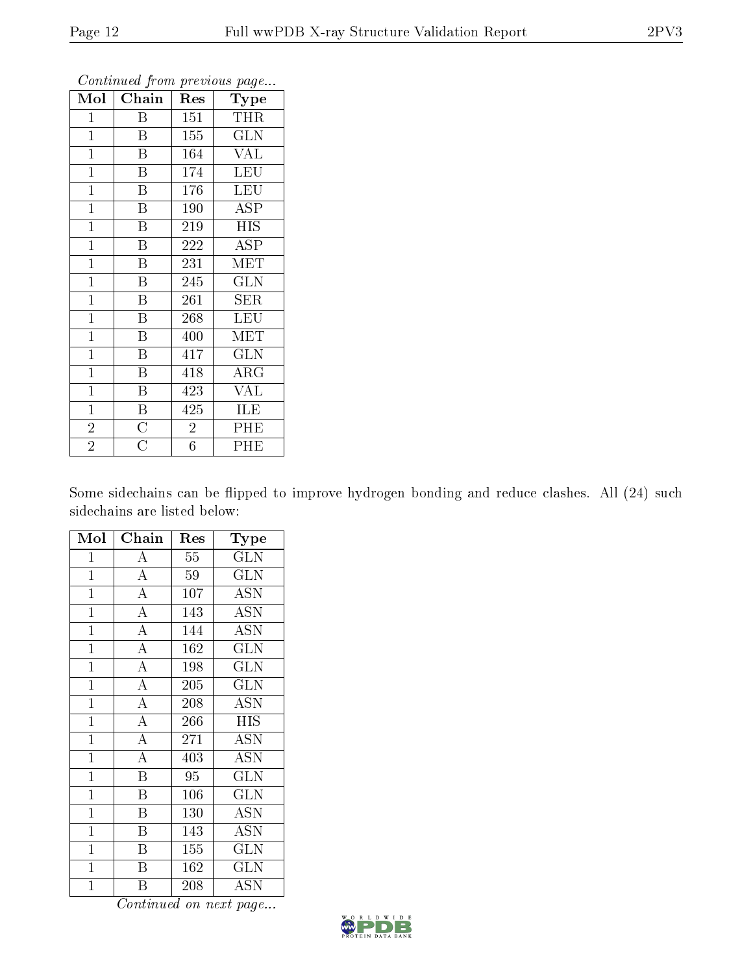| Mol            | Chain                   | $\operatorname{Res}% \left( \mathcal{N}\right) \equiv\operatorname{Res}(\mathcal{N}_{0})\left( \mathcal{N}_{0}\right) ^{2}$ | ັ<br>Type               |
|----------------|-------------------------|-----------------------------------------------------------------------------------------------------------------------------|-------------------------|
| $\mathbf{1}$   | B                       | 151                                                                                                                         | THR                     |
| $\mathbf{1}$   | $\overline{B}$          | 155                                                                                                                         | $\overline{\text{GLN}}$ |
| $\mathbf{1}$   | Β                       | 164                                                                                                                         | <b>VAL</b>              |
| $\mathbf{1}$   | B                       | 174                                                                                                                         | <b>LEU</b>              |
| $\mathbf{1}$   | $\overline{\mathrm{B}}$ | 176                                                                                                                         | <b>LEU</b>              |
| $\mathbf{1}$   | Β                       | 190                                                                                                                         | ASP                     |
| $\mathbf{1}$   | Β                       | 219                                                                                                                         | <b>HIS</b>              |
| $\mathbf{1}$   | $\overline{\mathrm{B}}$ | 222                                                                                                                         | <b>ASP</b>              |
| $\mathbf{1}$   | $\overline{\mathrm{B}}$ | 231                                                                                                                         | MET                     |
| $\mathbf{1}$   | $\overline{\mathrm{B}}$ | 245                                                                                                                         | GLN                     |
| $\mathbf{1}$   | B                       | 261                                                                                                                         | <b>SER</b>              |
| $\mathbf{1}$   | $\overline{\mathrm{B}}$ | 268                                                                                                                         | <b>LEU</b>              |
| $\mathbf{1}$   | Β                       | 400                                                                                                                         | MET                     |
| $\mathbf{1}$   | Β                       | 417                                                                                                                         | <b>GLN</b>              |
| $\mathbf{1}$   | $\overline{\mathrm{B}}$ | 418                                                                                                                         | $\overline{\rm{ARG}}$   |
| $\mathbf{1}$   | $\overline{\mathrm{B}}$ | 423                                                                                                                         | <b>VAL</b>              |
| $\mathbf{1}$   | $\overline{\mathrm{B}}$ | 425                                                                                                                         | ILE                     |
| $\overline{2}$ | $\overline{\rm C}$      | $\overline{2}$                                                                                                              | PHE                     |
| $\overline{2}$ | $\overline{\rm C}$      | $\overline{6}$                                                                                                              | PHE                     |

Continued from previous page...

Some sidechains can be flipped to improve hydrogen bonding and reduce clashes. All (24) such sidechains are listed below:

| Mol            | Chain                   | Res    | Type                      |
|----------------|-------------------------|--------|---------------------------|
| $\mathbf{1}$   | А                       | $55\,$ | <b>GLN</b>                |
| $\overline{1}$ | $\overline{A}$          | 59     | <b>GLN</b>                |
| $\mathbf{1}$   | $\overline{A}$          | 107    | <b>ASN</b>                |
| $\mathbf 1$    | $\overline{\rm A}$      | 143    | <b>ASN</b>                |
| $\mathbf 1$    | $\overline{A}$          | 144    | <b>ASN</b>                |
| $\mathbf{1}$   | $\overline{\rm A}$      | 162    | <b>GLN</b>                |
| $\overline{1}$ | $\overline{A}$          | 198    | $\overline{\text{GLN}}$   |
| $\overline{1}$ | $\overline{\rm A}$      | 205    | $\overline{\text{GLN}}$   |
| $\mathbf{1}$   | $\overline{A}$          | 208    | <b>ASN</b>                |
| $\mathbf{1}$   | $\overline{\mathbf{A}}$ | 266    | <b>HIS</b>                |
| $\overline{1}$ | $\overline{\rm A}$      | 271    | <b>ASN</b>                |
| $\mathbf 1$    | $\overline{A}$          | 403    | ASN                       |
| $\mathbf{1}$   | $\overline{B}$          | 95     | <b>GLN</b>                |
| $\overline{1}$ | $\overline{\mathrm{B}}$ | 106    | <b>GLN</b>                |
| $\overline{1}$ | $\overline{\mathrm{B}}$ | 130    | $\overline{\mathrm{ASN}}$ |
| $\overline{1}$ | B                       | 143    | <b>ASN</b>                |
| $\mathbf 1$    | $\overline{\mathrm{B}}$ | 155    | <b>GLN</b>                |
| $\mathbf{1}$   | B                       | 162    | <b>GLN</b>                |
| $\mathbf 1$    | Β                       | 208    | $\operatorname{ASN}$      |

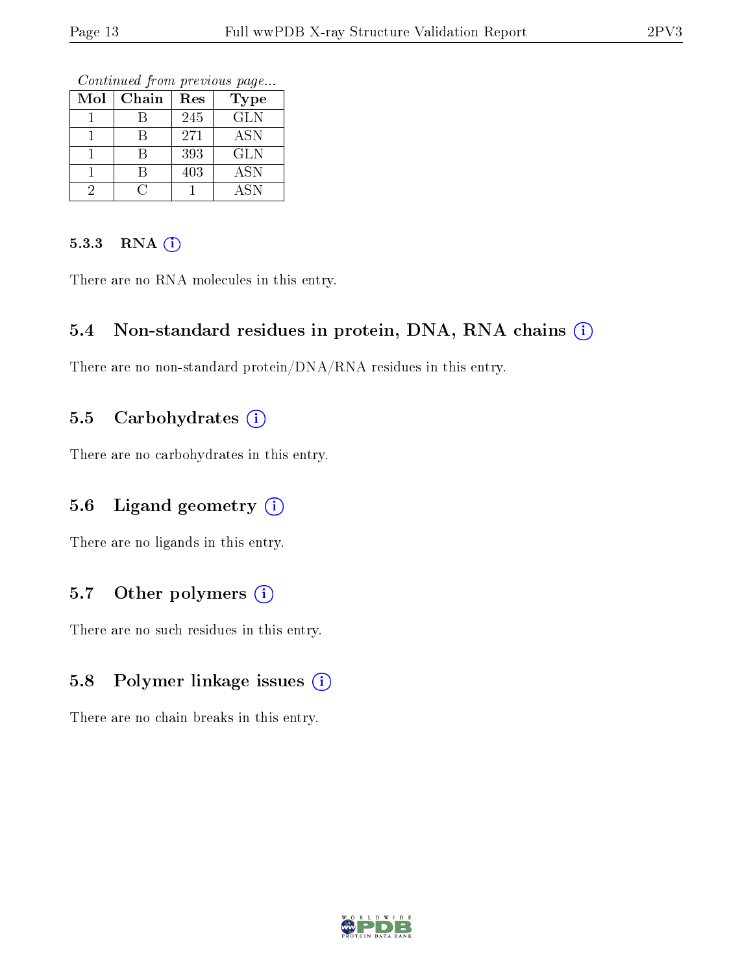Continued from previous page...

| Mol | Chain | Res | <b>Type</b> |
|-----|-------|-----|-------------|
|     |       | 245 | <b>GLN</b>  |
|     |       | 271 | ASN         |
|     |       | 393 | <b>GLN</b>  |
|     |       | 403 | ASN         |
|     |       |     | ASN         |

#### 5.3.3 RNA (i)

There are no RNA molecules in this entry.

### 5.4 Non-standard residues in protein, DNA, RNA chains (i)

There are no non-standard protein/DNA/RNA residues in this entry.

### 5.5 Carbohydrates  $(i)$

There are no carbohydrates in this entry.

### 5.6 Ligand geometry  $(i)$

There are no ligands in this entry.

### 5.7 [O](https://www.wwpdb.org/validation/2017/XrayValidationReportHelp#nonstandard_residues_and_ligands)ther polymers  $(i)$

There are no such residues in this entry.

### 5.8 Polymer linkage issues  $(i)$

There are no chain breaks in this entry.

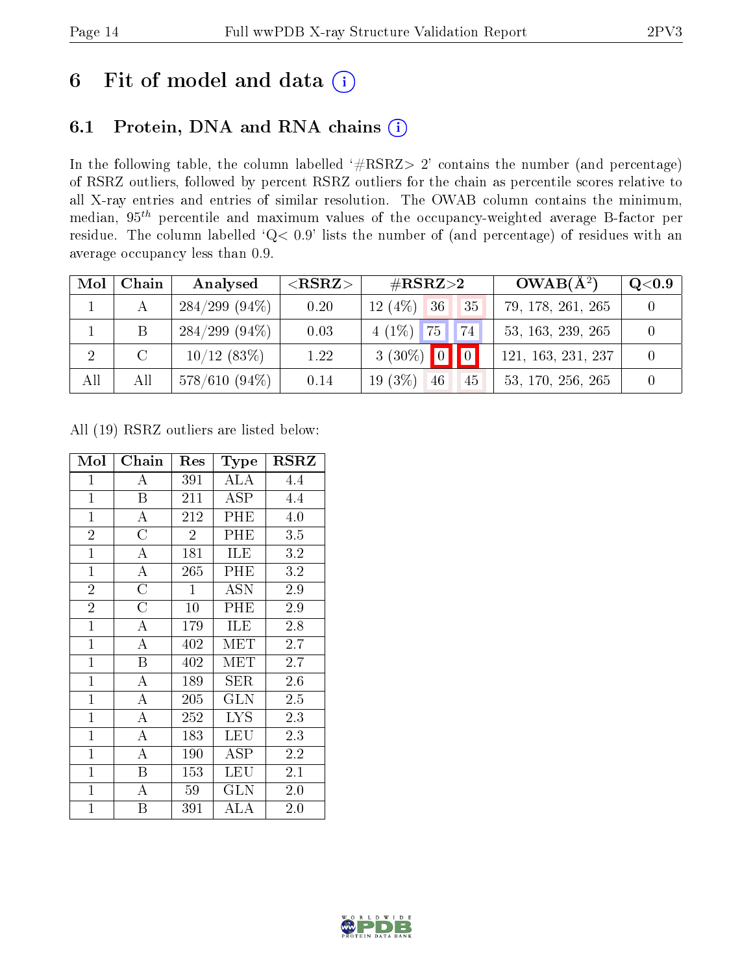# 6 Fit of model and data  $(i)$

## 6.1 Protein, DNA and RNA chains  $(i)$

In the following table, the column labelled  $#RSRZ> 2'$  contains the number (and percentage) of RSRZ outliers, followed by percent RSRZ outliers for the chain as percentile scores relative to all X-ray entries and entries of similar resolution. The OWAB column contains the minimum, median,  $95<sup>th</sup>$  percentile and maximum values of the occupancy-weighted average B-factor per residue. The column labelled ' $Q< 0.9$ ' lists the number of (and percentage) of residues with an average occupancy less than 0.9.

| Mol            | Chain | Analysed         | ${ <\hspace{-1.5pt}{\mathrm{RSRZ}} \hspace{-1.5pt}>}$ | $\#\text{RSRZ}{>}2$                 | $OWAB(A^2)$        | $\rm Q\textcolor{black}{<}0.9$ |
|----------------|-------|------------------|-------------------------------------------------------|-------------------------------------|--------------------|--------------------------------|
|                |       | $284/299$ (94\%) | 0.20                                                  | 12 $(4%)$<br>136 <sub>h</sub><br>35 | 79, 178, 261, 265  |                                |
|                | B     | $284/299$ (94\%) | 0.03                                                  | $4(1\%)$ 75<br>174'                 | 53, 163, 239, 265  |                                |
| $\overline{2}$ |       | 10/12(83%)       | 1.22                                                  | $3(30\%)$ 0 0                       | 121, 163, 231, 237 |                                |
| All            | All   | $578/610(94\%)$  | 0.14                                                  | $19(3\%)$<br>46<br>45               | 53, 170, 256, 265  |                                |

All (19) RSRZ outliers are listed below:

| Mol            | Chain              | Res            | <b>Type</b>             | <b>RSRZ</b> |
|----------------|--------------------|----------------|-------------------------|-------------|
| $\mathbf{1}$   | А                  | 391            | ALA                     | 4.4         |
| $\mathbf{1}$   | $\boldsymbol{B}$   | 211            | ASP                     | 4.4         |
| $\mathbf{1}$   | A                  | 212            | PHE                     | 4.0         |
| $\overline{2}$ | $\overline{\rm C}$ | $\overline{2}$ | PHE                     | 3.5         |
| $\overline{1}$ | $\bf{A}$           | 181            | ILE                     | 3.2         |
| $\overline{1}$ | $\overline{\rm A}$ | 265            | $\overline{\text{PHE}}$ | 3.2         |
| $\overline{2}$ | $\overline{C}$     | $\mathbf{1}$   | <b>ASN</b>              | 2.9         |
| $\overline{2}$ | $\overline{C}$     | 10             | PHE                     | 2.9         |
| $\mathbf{1}$   | A                  | 179            | ILE                     | 2.8         |
| $\mathbf{1}$   | A                  | 402            | MET                     | 2.7         |
| $\mathbf{1}$   | B                  | 402            | MET                     | 2.7         |
| $\mathbf{1}$   | A                  | 189            | ${\rm SER}$             | 2.6         |
| $\mathbf{1}$   | $\overline{\rm A}$ | 205            | <b>GLN</b>              | 2.5         |
| $\mathbf{1}$   | $\overline{\rm A}$ | 252            | <b>LYS</b>              | 2.3         |
| $\mathbf{1}$   | $\overline{\rm A}$ | 183            | <b>LEU</b>              | 2.3         |
| $\mathbf{1}$   | $\overline{\rm A}$ | 190            | ASP                     | 2.2         |
| $\mathbf{1}$   | B                  | 153            | LEU                     | 2.1         |
| $\mathbf{1}$   | А                  | 59             | $_{\rm GLN}$            | 2.0         |
| $\mathbf{1}$   | Β                  | 391            | ALA                     | $2.0\,$     |